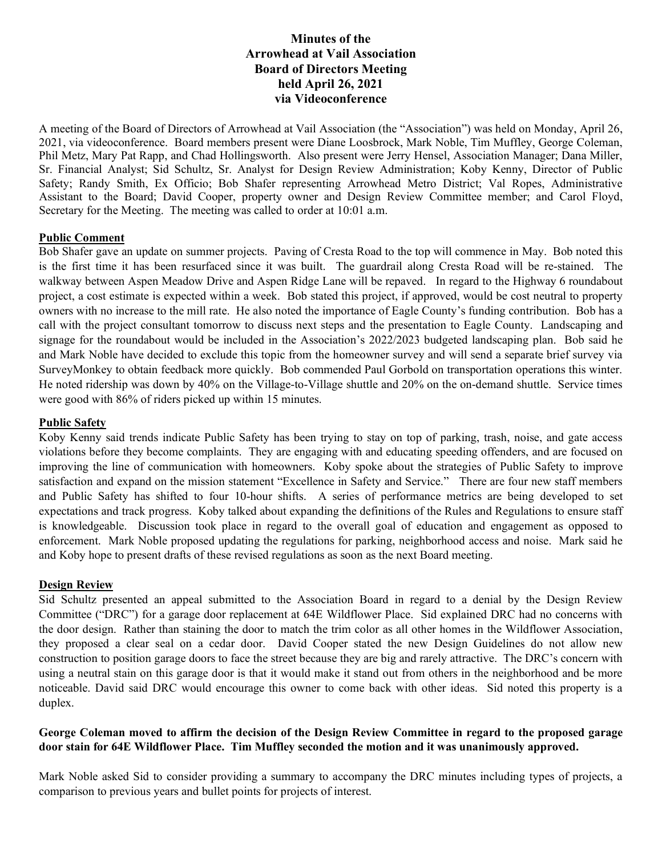# **Minutes of the Arrowhead at Vail Association Board of Directors Meeting held April 26, 2021 via Videoconference**

A meeting of the Board of Directors of Arrowhead at Vail Association (the "Association") was held on Monday, April 26, 2021, via videoconference. Board members present were Diane Loosbrock, Mark Noble, Tim Muffley, George Coleman, Phil Metz, Mary Pat Rapp, and Chad Hollingsworth. Also present were Jerry Hensel, Association Manager; Dana Miller, Sr. Financial Analyst; Sid Schultz, Sr. Analyst for Design Review Administration; Koby Kenny, Director of Public Safety; Randy Smith, Ex Officio; Bob Shafer representing Arrowhead Metro District; Val Ropes, Administrative Assistant to the Board; David Cooper, property owner and Design Review Committee member; and Carol Floyd, Secretary for the Meeting. The meeting was called to order at 10:01 a.m.

#### **Public Comment**

Bob Shafer gave an update on summer projects. Paving of Cresta Road to the top will commence in May. Bob noted this is the first time it has been resurfaced since it was built. The guardrail along Cresta Road will be re-stained. The walkway between Aspen Meadow Drive and Aspen Ridge Lane will be repaved. In regard to the Highway 6 roundabout project, a cost estimate is expected within a week. Bob stated this project, if approved, would be cost neutral to property owners with no increase to the mill rate. He also noted the importance of Eagle County's funding contribution. Bob has a call with the project consultant tomorrow to discuss next steps and the presentation to Eagle County. Landscaping and signage for the roundabout would be included in the Association's 2022/2023 budgeted landscaping plan. Bob said he and Mark Noble have decided to exclude this topic from the homeowner survey and will send a separate brief survey via SurveyMonkey to obtain feedback more quickly. Bob commended Paul Gorbold on transportation operations this winter. He noted ridership was down by 40% on the Village-to-Village shuttle and 20% on the on-demand shuttle. Service times were good with 86% of riders picked up within 15 minutes.

#### **Public Safety**

Koby Kenny said trends indicate Public Safety has been trying to stay on top of parking, trash, noise, and gate access violations before they become complaints. They are engaging with and educating speeding offenders, and are focused on improving the line of communication with homeowners. Koby spoke about the strategies of Public Safety to improve satisfaction and expand on the mission statement "Excellence in Safety and Service." There are four new staff members and Public Safety has shifted to four 10-hour shifts. A series of performance metrics are being developed to set expectations and track progress. Koby talked about expanding the definitions of the Rules and Regulations to ensure staff is knowledgeable. Discussion took place in regard to the overall goal of education and engagement as opposed to enforcement. Mark Noble proposed updating the regulations for parking, neighborhood access and noise. Mark said he and Koby hope to present drafts of these revised regulations as soon as the next Board meeting.

#### **Design Review**

Sid Schultz presented an appeal submitted to the Association Board in regard to a denial by the Design Review Committee ("DRC") for a garage door replacement at 64E Wildflower Place. Sid explained DRC had no concerns with the door design. Rather than staining the door to match the trim color as all other homes in the Wildflower Association, they proposed a clear seal on a cedar door. David Cooper stated the new Design Guidelines do not allow new construction to position garage doors to face the street because they are big and rarely attractive. The DRC's concern with using a neutral stain on this garage door is that it would make it stand out from others in the neighborhood and be more noticeable. David said DRC would encourage this owner to come back with other ideas. Sid noted this property is a duplex.

#### **George Coleman moved to affirm the decision of the Design Review Committee in regard to the proposed garage door stain for 64E Wildflower Place. Tim Muffley seconded the motion and it was unanimously approved.**

Mark Noble asked Sid to consider providing a summary to accompany the DRC minutes including types of projects, a comparison to previous years and bullet points for projects of interest.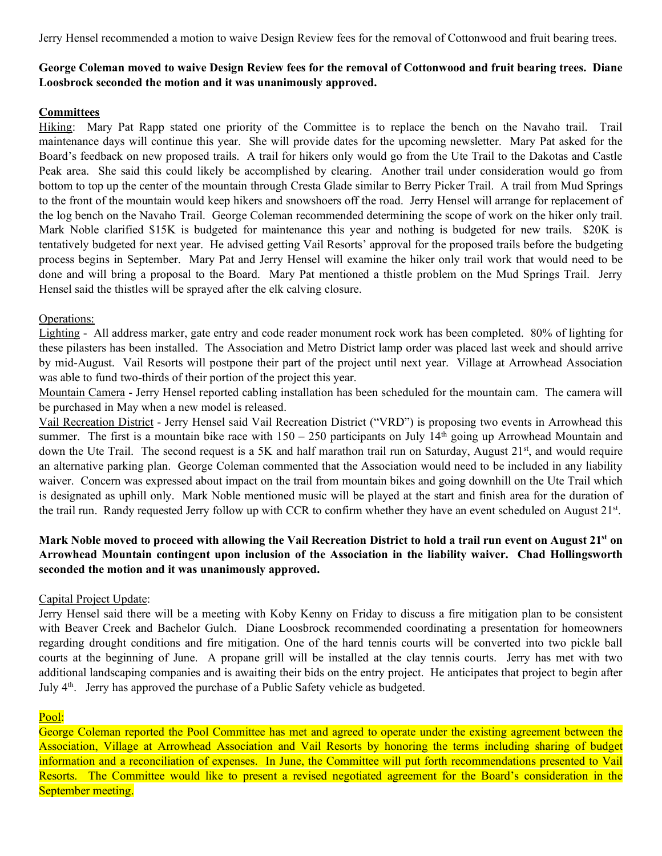Jerry Hensel recommended a motion to waive Design Review fees for the removal of Cottonwood and fruit bearing trees.

# **George Coleman moved to waive Design Review fees for the removal of Cottonwood and fruit bearing trees. Diane Loosbrock seconded the motion and it was unanimously approved.**

## **Committees**

Hiking: Mary Pat Rapp stated one priority of the Committee is to replace the bench on the Navaho trail. Trail maintenance days will continue this year. She will provide dates for the upcoming newsletter. Mary Pat asked for the Board's feedback on new proposed trails. A trail for hikers only would go from the Ute Trail to the Dakotas and Castle Peak area. She said this could likely be accomplished by clearing. Another trail under consideration would go from bottom to top up the center of the mountain through Cresta Glade similar to Berry Picker Trail. A trail from Mud Springs to the front of the mountain would keep hikers and snowshoers off the road. Jerry Hensel will arrange for replacement of the log bench on the Navaho Trail. George Coleman recommended determining the scope of work on the hiker only trail. Mark Noble clarified \$15K is budgeted for maintenance this year and nothing is budgeted for new trails. \$20K is tentatively budgeted for next year. He advised getting Vail Resorts' approval for the proposed trails before the budgeting process begins in September. Mary Pat and Jerry Hensel will examine the hiker only trail work that would need to be done and will bring a proposal to the Board. Mary Pat mentioned a thistle problem on the Mud Springs Trail. Jerry Hensel said the thistles will be sprayed after the elk calving closure.

#### Operations:

Lighting - All address marker, gate entry and code reader monument rock work has been completed. 80% of lighting for these pilasters has been installed. The Association and Metro District lamp order was placed last week and should arrive by mid-August. Vail Resorts will postpone their part of the project until next year. Village at Arrowhead Association was able to fund two-thirds of their portion of the project this year.

Mountain Camera - Jerry Hensel reported cabling installation has been scheduled for the mountain cam. The camera will be purchased in May when a new model is released.

Vail Recreation District - Jerry Hensel said Vail Recreation District ("VRD") is proposing two events in Arrowhead this summer. The first is a mountain bike race with  $150 - 250$  participants on July  $14<sup>th</sup>$  going up Arrowhead Mountain and down the Ute Trail. The second request is a 5K and half marathon trail run on Saturday, August 21<sup>st</sup>, and would require an alternative parking plan. George Coleman commented that the Association would need to be included in any liability waiver. Concern was expressed about impact on the trail from mountain bikes and going downhill on the Ute Trail which is designated as uphill only. Mark Noble mentioned music will be played at the start and finish area for the duration of the trail run. Randy requested Jerry follow up with CCR to confirm whether they have an event scheduled on August 21st.

## **Mark Noble moved to proceed with allowing the Vail Recreation District to hold a trail run event on August 21st on Arrowhead Mountain contingent upon inclusion of the Association in the liability waiver. Chad Hollingsworth seconded the motion and it was unanimously approved.**

#### Capital Project Update:

Jerry Hensel said there will be a meeting with Koby Kenny on Friday to discuss a fire mitigation plan to be consistent with Beaver Creek and Bachelor Gulch. Diane Loosbrock recommended coordinating a presentation for homeowners regarding drought conditions and fire mitigation. One of the hard tennis courts will be converted into two pickle ball courts at the beginning of June. A propane grill will be installed at the clay tennis courts. Jerry has met with two additional landscaping companies and is awaiting their bids on the entry project. He anticipates that project to begin after July  $4<sup>th</sup>$ . Jerry has approved the purchase of a Public Safety vehicle as budgeted.

## Pool:

George Coleman reported the Pool Committee has met and agreed to operate under the existing agreement between the Association, Village at Arrowhead Association and Vail Resorts by honoring the terms including sharing of budget information and a reconciliation of expenses. In June, the Committee will put forth recommendations presented to Vail Resorts. The Committee would like to present a revised negotiated agreement for the Board's consideration in the September meeting.